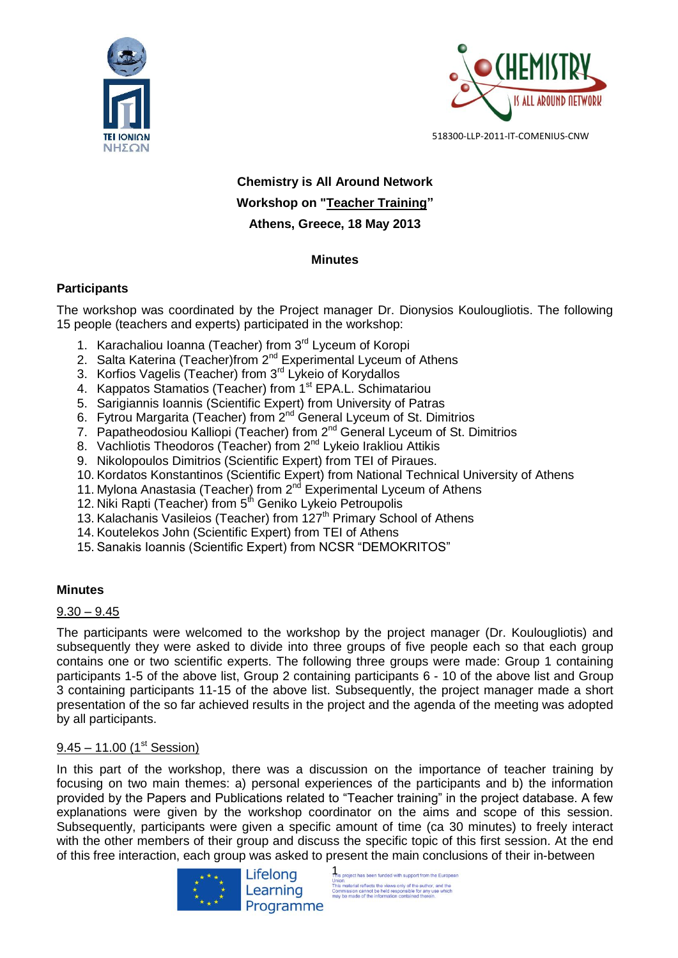



# **Chemistry is All Around Network Workshop on "Teacher Training" Athens, Greece, 18 May 2013**

# **Minutes**

# **Participants**

The workshop was coordinated by the Project manager Dr. Dionysios Koulougliotis. The following 15 people (teachers and experts) participated in the workshop:

- 1. Karachaliou Ioanna (Teacher) from 3<sup>rd</sup> Lyceum of Koropi
- 2. Salta Katerina (Teacher)from 2<sup>nd</sup> Experimental Lyceum of Athens
- 3. Korfios Vagelis (Teacher) from 3<sup>rd</sup> Lykeio of Korydallos
- 4. Kappatos Stamatios (Teacher) from 1<sup>st</sup> EPA.L. Schimatariou
- 5. Sarigiannis Ioannis (Scientific Expert) from University of Patras
- 6. Fytrou Margarita (Teacher) from 2nd General Lyceum of St. Dimitrios
- 7. Papatheodosiou Kalliopi (Teacher) from  $2^{nd}$  General Lyceum of St. Dimitrios
- 8. Vachliotis Theodoros (Teacher) from 2<sup>nd</sup> Lykeio Irakliou Attikis
- 9. Nikolopoulos Dimitrios (Scientific Expert) from TEI of Piraues.
- 10. Kordatos Konstantinos (Scientific Expert) from National Technical University of Athens
- 11. Mylona Anastasia (Teacher) from 2<sup>nd</sup> Experimental Lyceum of Athens
- 12. Niki Rapti (Teacher) from 5<sup>th</sup> Geniko Lykeio Petroupolis
- 13. Kalachanis Vasileios (Teacher) from 127<sup>th</sup> Primary School of Athens
- 14. Koutelekos John (Scientific Expert) from TEI of Athens
- 15. Sanakis Ioannis (Scientific Expert) from NCSR "DEMOKRITOS"

# **Minutes**

# $9.30 - 9.45$

The participants were welcomed to the workshop by the project manager (Dr. Koulougliotis) and subsequently they were asked to divide into three groups of five people each so that each group contains one or two scientific experts. The following three groups were made: Group 1 containing participants 1-5 of the above list, Group 2 containing participants 6 - 10 of the above list and Group 3 containing participants 11-15 of the above list. Subsequently, the project manager made a short presentation of the so far achieved results in the project and the agenda of the meeting was adopted by all participants.

# $9.45 - 11.00$  (1<sup>st</sup> Session)

In this part of the workshop, there was a discussion on the importance of teacher training by focusing on two main themes: a) personal experiences of the participants and b) the information provided by the Papers and Publications related to "Teacher training" in the project database. A few explanations were given by the workshop coordinator on the aims and scope of this session. Subsequently, participants were given a specific amount of time (ca 30 minutes) to freely interact with the other members of their group and discuss the specific topic of this first session. At the end of this free interaction, each group was asked to present the main conclusions of their in-between



This project has been funded with support from the European Union.<br>This material reflects the views only of the author, and the<br>Commission cannot be held responsible for any use which<br>may be made of the information contained therein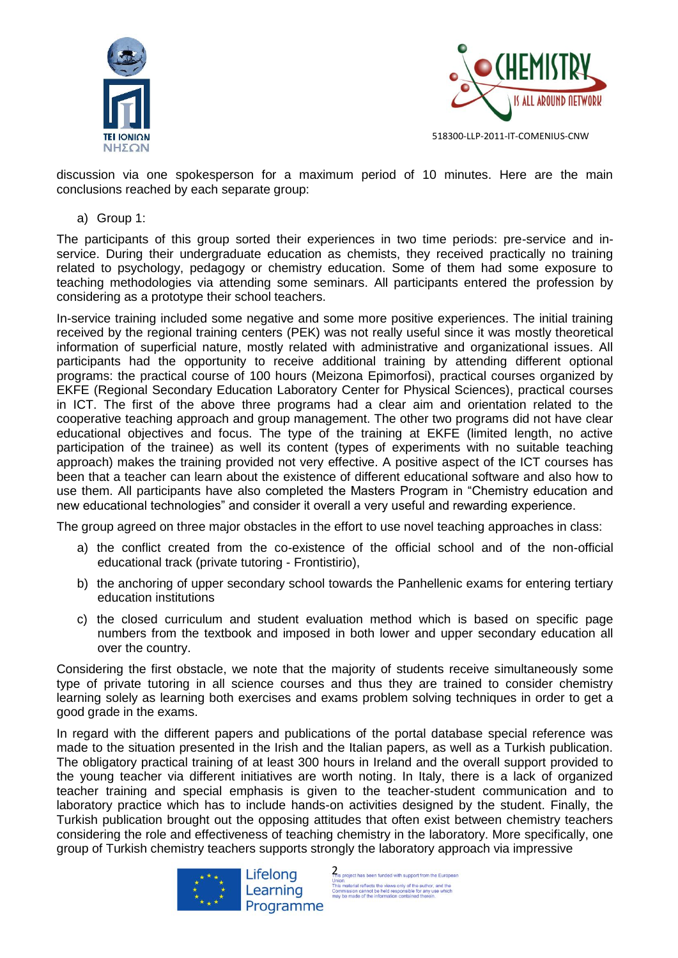



discussion via one spokesperson for a maximum period of 10 minutes. Here are the main conclusions reached by each separate group:

a) Group 1:

The participants of this group sorted their experiences in two time periods: pre-service and inservice. During their undergraduate education as chemists, they received practically no training related to psychology, pedagogy or chemistry education. Some of them had some exposure to teaching methodologies via attending some seminars. All participants entered the profession by considering as a prototype their school teachers.

In-service training included some negative and some more positive experiences. The initial training received by the regional training centers (PEK) was not really useful since it was mostly theoretical information of superficial nature, mostly related with administrative and organizational issues. All participants had the opportunity to receive additional training by attending different optional programs: the practical course of 100 hours (Meizona Epimorfosi), practical courses organized by EKFE (Regional Secondary Education Laboratory Center for Physical Sciences), practical courses in ICT. The first of the above three programs had a clear aim and orientation related to the cooperative teaching approach and group management. The other two programs did not have clear educational objectives and focus. The type of the training at EKFE (limited length, no active participation of the trainee) as well its content (types of experiments with no suitable teaching approach) makes the training provided not very effective. A positive aspect of the ICT courses has been that a teacher can learn about the existence of different educational software and also how to use them. All participants have also completed the Masters Program in "Chemistry education and new educational technologies" and consider it overall a very useful and rewarding experience.

The group agreed on three major obstacles in the effort to use novel teaching approaches in class:

- a) the conflict created from the co-existence of the official school and of the non-official educational track (private tutoring - Frontistirio),
- b) the anchoring of upper secondary school towards the Panhellenic exams for entering tertiary education institutions
- c) the closed curriculum and student evaluation method which is based on specific page numbers from the textbook and imposed in both lower and upper secondary education all over the country.

Considering the first obstacle, we note that the majority of students receive simultaneously some type of private tutoring in all science courses and thus they are trained to consider chemistry learning solely as learning both exercises and exams problem solving techniques in order to get a good grade in the exams.

In regard with the different papers and publications of the portal database special reference was made to the situation presented in the Irish and the Italian papers, as well as a Turkish publication. The obligatory practical training of at least 300 hours in Ireland and the overall support provided to the young teacher via different initiatives are worth noting. In Italy, there is a lack of organized teacher training and special emphasis is given to the teacher-student communication and to laboratory practice which has to include hands-on activities designed by the student. Finally, the Turkish publication brought out the opposing attitudes that often exist between chemistry teachers considering the role and effectiveness of teaching chemistry in the laboratory. More specifically, one group of Turkish chemistry teachers supports strongly the laboratory approach via impressive



This project has been funded with support from the European Union.<br>This material reflects the views only of the author, and the<br>Commission cannot be held responsible for any use which<br>may be made of the information contained therein.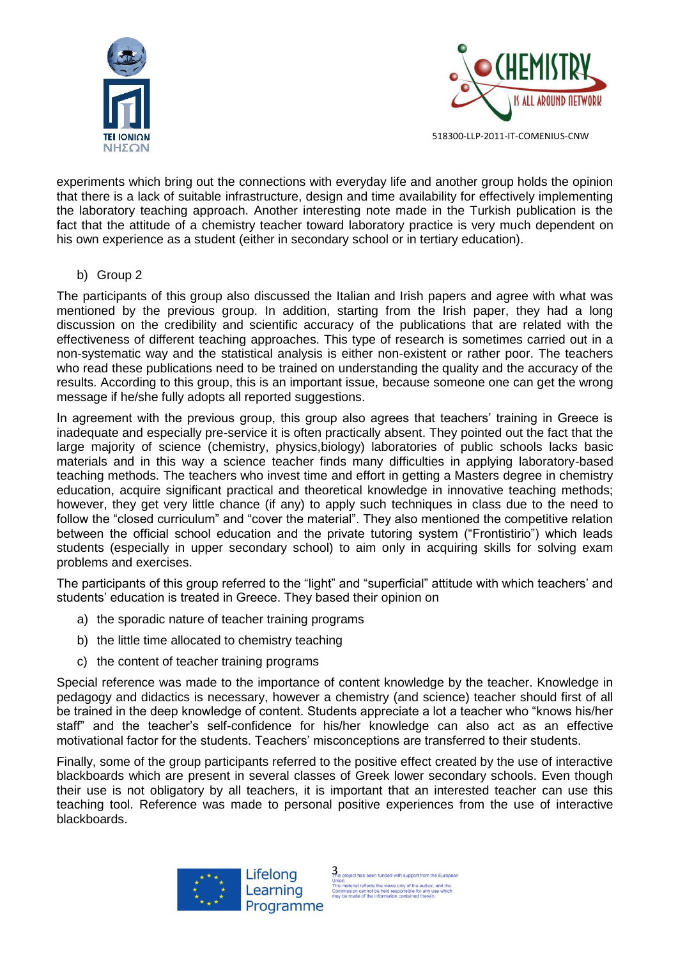



experiments which bring out the connections with everyday life and another group holds the opinion that there is a lack of suitable infrastructure, design and time availability for effectively implementing the laboratory teaching approach. Another interesting note made in the Turkish publication is the fact that the attitude of a chemistry teacher toward laboratory practice is very much dependent on his own experience as a student (either in secondary school or in tertiary education).

#### b) Group 2

The participants of this group also discussed the Italian and Irish papers and agree with what was mentioned by the previous group. In addition, starting from the Irish paper, they had a long discussion on the credibility and scientific accuracy of the publications that are related with the effectiveness of different teaching approaches. This type of research is sometimes carried out in a non-systematic way and the statistical analysis is either non-existent or rather poor. The teachers who read these publications need to be trained on understanding the quality and the accuracy of the results. According to this group, this is an important issue, because someone one can get the wrong message if he/she fully adopts all reported suggestions.

In agreement with the previous group, this group also agrees that teachers' training in Greece is inadequate and especially pre-service it is often practically absent. They pointed out the fact that the large majority of science (chemistry, physics,biology) laboratories of public schools lacks basic materials and in this way a science teacher finds many difficulties in applying laboratory-based teaching methods. The teachers who invest time and effort in getting a Masters degree in chemistry education, acquire significant practical and theoretical knowledge in innovative teaching methods; however, they get very little chance (if any) to apply such techniques in class due to the need to follow the "closed curriculum" and "cover the material". They also mentioned the competitive relation between the official school education and the private tutoring system ("Frontistirio") which leads students (especially in upper secondary school) to aim only in acquiring skills for solving exam problems and exercises.

The participants of this group referred to the "light" and "superficial" attitude with which teachers' and students' education is treated in Greece. They based their opinion on

- a) the sporadic nature of teacher training programs
- b) the little time allocated to chemistry teaching
- c) the content of teacher training programs

Special reference was made to the importance of content knowledge by the teacher. Knowledge in pedagogy and didactics is necessary, however a chemistry (and science) teacher should first of all be trained in the deep knowledge of content. Students appreciate a lot a teacher who "knows his/her staff" and the teacher's self-confidence for his/her knowledge can also act as an effective motivational factor for the students. Teachers' misconceptions are transferred to their students.

Finally, some of the group participants referred to the positive effect created by the use of interactive blackboards which are present in several classes of Greek lower secondary schools. Even though their use is not obligatory by all teachers, it is important that an interested teacher can use this teaching tool. Reference was made to personal positive experiences from the use of interactive blackboards.

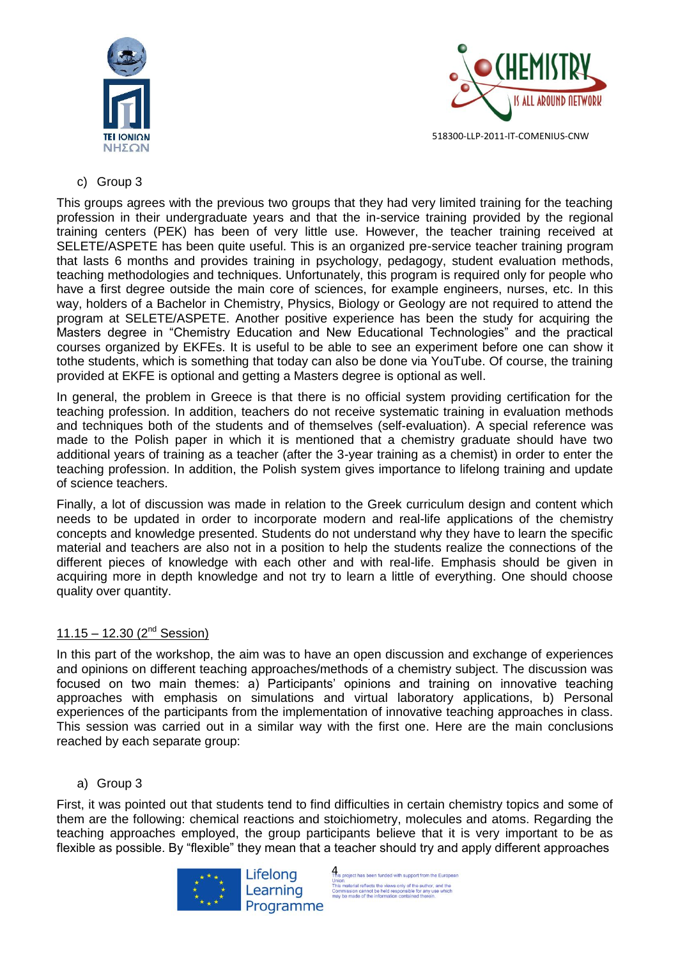



#### c) Group 3

This groups agrees with the previous two groups that they had very limited training for the teaching profession in their undergraduate years and that the in-service training provided by the regional training centers (PEK) has been of very little use. However, the teacher training received at SELETE/ASPETE has been quite useful. This is an organized pre-service teacher training program that lasts 6 months and provides training in psychology, pedagogy, student evaluation methods, teaching methodologies and techniques. Unfortunately, this program is required only for people who have a first degree outside the main core of sciences, for example engineers, nurses, etc. In this way, holders of a Bachelor in Chemistry, Physics, Biology or Geology are not required to attend the program at SELETE/ASPETE. Another positive experience has been the study for acquiring the Masters degree in "Chemistry Education and New Educational Technologies" and the practical courses organized by EKFEs. It is useful to be able to see an experiment before one can show it tothe students, which is something that today can also be done via YouTube. Of course, the training provided at EKFE is optional and getting a Masters degree is optional as well.

In general, the problem in Greece is that there is no official system providing certification for the teaching profession. In addition, teachers do not receive systematic training in evaluation methods and techniques both of the students and of themselves (self-evaluation). A special reference was made to the Polish paper in which it is mentioned that a chemistry graduate should have two additional years of training as a teacher (after the 3-year training as a chemist) in order to enter the teaching profession. In addition, the Polish system gives importance to lifelong training and update of science teachers.

Finally, a lot of discussion was made in relation to the Greek curriculum design and content which needs to be updated in order to incorporate modern and real-life applications of the chemistry concepts and knowledge presented. Students do not understand why they have to learn the specific material and teachers are also not in a position to help the students realize the connections of the different pieces of knowledge with each other and with real-life. Emphasis should be given in acquiring more in depth knowledge and not try to learn a little of everything. One should choose quality over quantity.

# 11.15 – 12.30  $(2^{nd}$  Session)

In this part of the workshop, the aim was to have an open discussion and exchange of experiences and opinions on different teaching approaches/methods of a chemistry subject. The discussion was focused on two main themes: a) Participants' opinions and training on innovative teaching approaches with emphasis on simulations and virtual laboratory applications, b) Personal experiences of the participants from the implementation of innovative teaching approaches in class. This session was carried out in a similar way with the first one. Here are the main conclusions reached by each separate group:

#### a) Group 3

First, it was pointed out that students tend to find difficulties in certain chemistry topics and some of them are the following: chemical reactions and stoichiometry, molecules and atoms. Regarding the teaching approaches employed, the group participants believe that it is very important to be as flexible as possible. By "flexible" they mean that a teacher should try and apply different approaches



This project has been funded with support from the European Union.<br>This material reflects the views only of the author, and the<br>Commission cannot be held responsible for any use which<br>may be made of the information contained therein.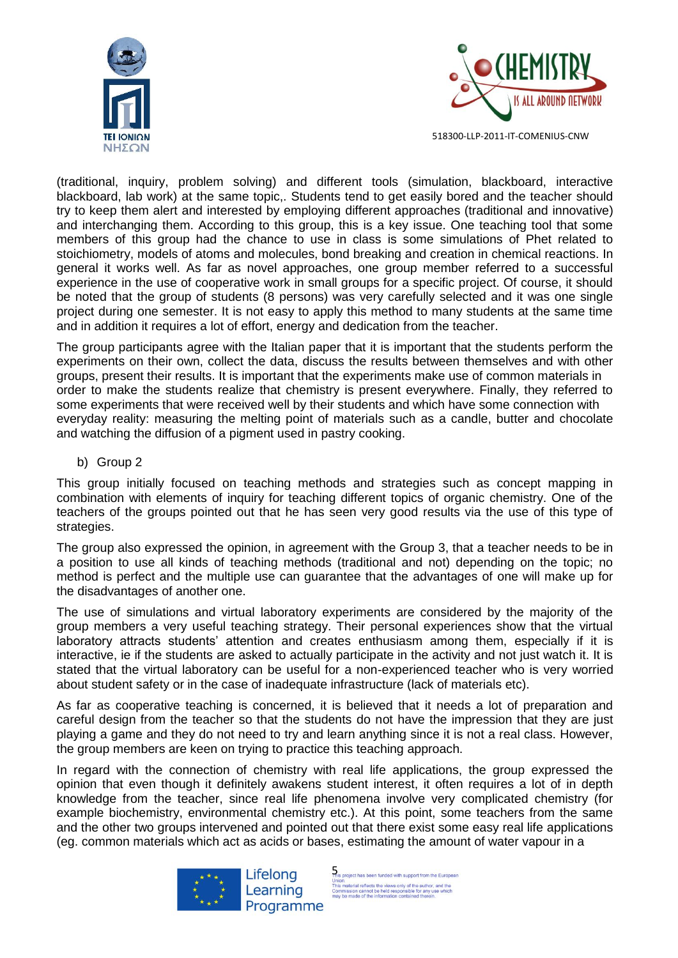



(traditional, inquiry, problem solving) and different tools (simulation, blackboard, interactive blackboard, lab work) at the same topic,. Students tend to get easily bored and the teacher should try to keep them alert and interested by employing different approaches (traditional and innovative) and interchanging them. According to this group, this is a key issue. One teaching tool that some members of this group had the chance to use in class is some simulations of Phet related to stoichiometry, models of atoms and molecules, bond breaking and creation in chemical reactions. In general it works well. As far as novel approaches, one group member referred to a successful experience in the use of cooperative work in small groups for a specific project. Of course, it should be noted that the group of students (8 persons) was very carefully selected and it was one single project during one semester. It is not easy to apply this method to many students at the same time and in addition it requires a lot of effort, energy and dedication from the teacher.

The group participants agree with the Italian paper that it is important that the students perform the experiments on their own, collect the data, discuss the results between themselves and with other groups, present their results. It is important that the experiments make use of common materials in order to make the students realize that chemistry is present everywhere. Finally, they referred to some experiments that were received well by their students and which have some connection with everyday reality: measuring the melting point of materials such as a candle, butter and chocolate and watching the diffusion of a pigment used in pastry cooking.

b) Group 2

This group initially focused on teaching methods and strategies such as concept mapping in combination with elements of inquiry for teaching different topics of organic chemistry. One of the teachers of the groups pointed out that he has seen very good results via the use of this type of strategies.

The group also expressed the opinion, in agreement with the Group 3, that a teacher needs to be in a position to use all kinds of teaching methods (traditional and not) depending on the topic; no method is perfect and the multiple use can guarantee that the advantages of one will make up for the disadvantages of another one.

The use of simulations and virtual laboratory experiments are considered by the majority of the group members a very useful teaching strategy. Their personal experiences show that the virtual laboratory attracts students' attention and creates enthusiasm among them, especially if it is interactive, ie if the students are asked to actually participate in the activity and not just watch it. It is stated that the virtual laboratory can be useful for a non-experienced teacher who is very worried about student safety or in the case of inadequate infrastructure (lack of materials etc).

As far as cooperative teaching is concerned, it is believed that it needs a lot of preparation and careful design from the teacher so that the students do not have the impression that they are just playing a game and they do not need to try and learn anything since it is not a real class. However, the group members are keen on trying to practice this teaching approach.

In regard with the connection of chemistry with real life applications, the group expressed the opinion that even though it definitely awakens student interest, it often requires a lot of in depth knowledge from the teacher, since real life phenomena involve very complicated chemistry (for example biochemistry, environmental chemistry etc.). At this point, some teachers from the same and the other two groups intervened and pointed out that there exist some easy real life applications (eg. common materials which act as acids or bases, estimating the amount of water vapour in a



This project has been funded with support from the European Union.<br>This material reflects the views only of the author, and the<br>Commission cannot be held responsible for any use which<br>may be made of the information contained therein.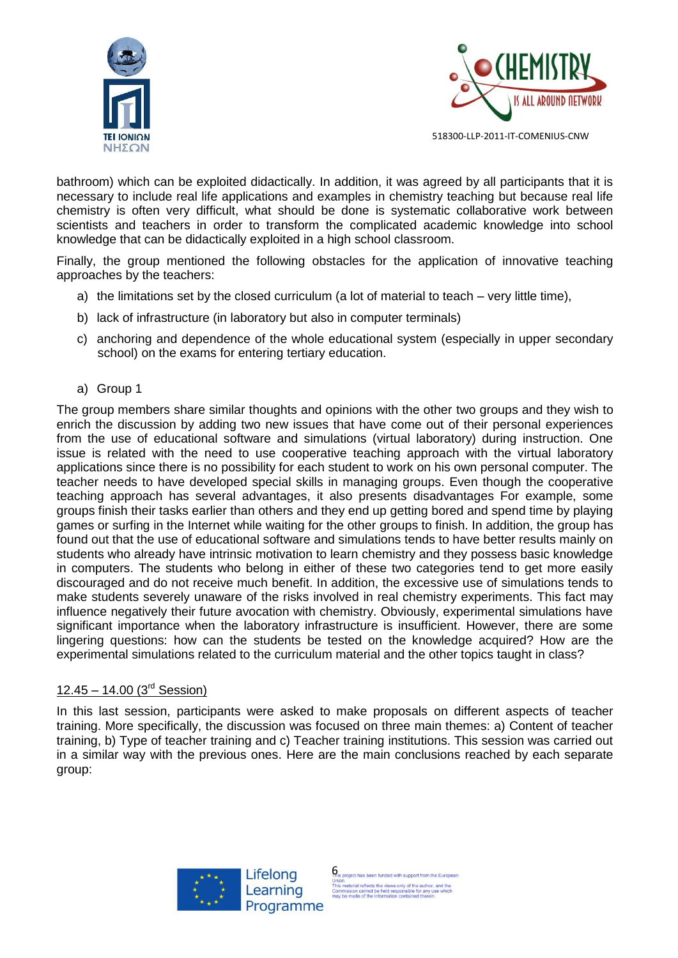



bathroom) which can be exploited didactically. In addition, it was agreed by all participants that it is necessary to include real life applications and examples in chemistry teaching but because real life chemistry is often very difficult, what should be done is systematic collaborative work between scientists and teachers in order to transform the complicated academic knowledge into school knowledge that can be didactically exploited in a high school classroom.

Finally, the group mentioned the following obstacles for the application of innovative teaching approaches by the teachers:

- a) the limitations set by the closed curriculum (a lot of material to teach very little time),
- b) lack of infrastructure (in laboratory but also in computer terminals)
- c) anchoring and dependence of the whole educational system (especially in upper secondary school) on the exams for entering tertiary education.
- a) Group 1

The group members share similar thoughts and opinions with the other two groups and they wish to enrich the discussion by adding two new issues that have come out of their personal experiences from the use of educational software and simulations (virtual laboratory) during instruction. One issue is related with the need to use cooperative teaching approach with the virtual laboratory applications since there is no possibility for each student to work on his own personal computer. The teacher needs to have developed special skills in managing groups. Even though the cooperative teaching approach has several advantages, it also presents disadvantages For example, some groups finish their tasks earlier than others and they end up getting bored and spend time by playing games or surfing in the Internet while waiting for the other groups to finish. In addition, the group has found out that the use of educational software and simulations tends to have better results mainly on students who already have intrinsic motivation to learn chemistry and they possess basic knowledge in computers. The students who belong in either of these two categories tend to get more easily discouraged and do not receive much benefit. In addition, the excessive use of simulations tends to make students severely unaware of the risks involved in real chemistry experiments. This fact may influence negatively their future avocation with chemistry. Obviously, experimental simulations have significant importance when the laboratory infrastructure is insufficient. However, there are some lingering questions: how can the students be tested on the knowledge acquired? How are the experimental simulations related to the curriculum material and the other topics taught in class?

#### $12.45 - 14.00$  (3<sup>rd</sup> Session)

In this last session, participants were asked to make proposals on different aspects of teacher training. More specifically, the discussion was focused on three main themes: a) Content of teacher training, b) Type of teacher training and c) Teacher training institutions. This session was carried out in a similar way with the previous ones. Here are the main conclusions reached by each separate group:



This project has been funded with support from the European This material reflects the views only of the author, and the<br>Commission cannot be held responsible for any use which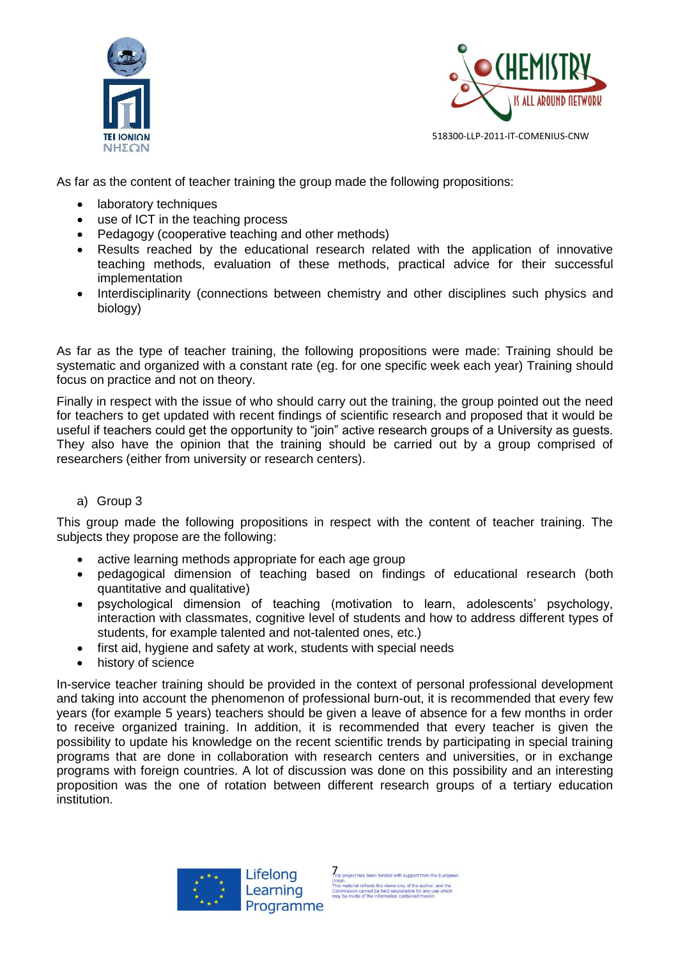



As far as the content of teacher training the group made the following propositions:

- laboratory techniques
- use of ICT in the teaching process
- Pedagogy (cooperative teaching and other methods)
- Results reached by the educational research related with the application of innovative teaching methods, evaluation of these methods, practical advice for their successful implementation
- Interdisciplinarity (connections between chemistry and other disciplines such physics and biology)

As far as the type of teacher training, the following propositions were made: Training should be systematic and organized with a constant rate (eg. for one specific week each year) Training should focus on practice and not on theory.

Finally in respect with the issue of who should carry out the training, the group pointed out the need for teachers to get updated with recent findings of scientific research and proposed that it would be useful if teachers could get the opportunity to "join" active research groups of a University as guests. They also have the opinion that the training should be carried out by a group comprised of researchers (either from university or research centers).

#### a) Group 3

This group made the following propositions in respect with the content of teacher training. The subjects they propose are the following:

- active learning methods appropriate for each age group
- pedagogical dimension of teaching based on findings of educational research (both quantitative and qualitative)
- psychological dimension of teaching (motivation to learn, adolescents' psychology, interaction with classmates, cognitive level of students and how to address different types of students, for example talented and not-talented ones, etc.)
- first aid, hygiene and safety at work, students with special needs
- history of science

In-service teacher training should be provided in the context of personal professional development and taking into account the phenomenon of professional burn-out, it is recommended that every few years (for example 5 years) teachers should be given a leave of absence for a few months in order to receive organized training. In addition, it is recommended that every teacher is given the possibility to update his knowledge on the recent scientific trends by participating in special training programs that are done in collaboration with research centers and universities, or in exchange programs with foreign countries. A lot of discussion was done on this possibility and an interesting proposition was the one of rotation between different research groups of a tertiary education institution.